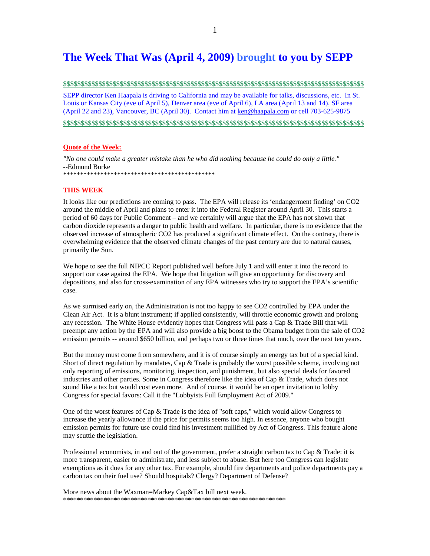# **The Week That Was (April 4, 2009) brought to you by SEPP**

### **\$\$\$\$\$\$\$\$\$\$\$\$\$\$\$\$\$\$\$\$\$\$\$\$\$\$\$\$\$\$\$\$\$\$\$\$\$\$\$\$\$\$\$\$\$\$\$\$\$\$\$\$\$\$\$\$\$\$\$\$\$\$\$\$\$\$\$\$\$\$\$\$\$\$\$\$\$\$\$\$\$\$\$\$\$**

SEPP director Ken Haapala is driving to California and may be available for talks, discussions, etc. In St. Louis or Kansas City (eve of April 5), Denver area (eve of April 6), LA area (April 13 and 14), SF area (April 22 and 23), Vancouver, BC (April 30). Contact him at ken@haapala.com or cell 703-625-9875

**\$\$\$\$\$\$\$\$\$\$\$\$\$\$\$\$\$\$\$\$\$\$\$\$\$\$\$\$\$\$\$\$\$\$\$\$\$\$\$\$\$\$\$\$\$\$\$\$\$\$\$\$\$\$\$\$\$\$\$\$\$\$\$\$\$\$\$\$\$\$\$\$\$\$\$\$\$\$\$\$\$\$\$\$\$**

### **Quote of the Week:**

*"No one could make a greater mistake than he who did nothing because he could do only a little."*  --Edmund Burke

\*\*\*\*\*\*\*\*\*\*\*\*\*\*\*\*\*\*\*\*\*\*\*\*\*\*\*\*\*\*\*\*\*\*\*\*\*\*\*\*\*\*\*\*\*

## **THIS WEEK**

It looks like our predictions are coming to pass. The EPA will release its 'endangerment finding' on CO2 around the middle of April and plans to enter it into the Federal Register around April 30. This starts a period of 60 days for Public Comment – and we certainly will argue that the EPA has not shown that carbon dioxide represents a danger to public health and welfare. In particular, there is no evidence that the observed increase of atmospheric CO2 has produced a significant climate effect. On the contrary, there is overwhelming evidence that the observed climate changes of the past century are due to natural causes, primarily the Sun.

We hope to see the full NIPCC Report published well before July 1 and will enter it into the record to support our case against the EPA. We hope that litigation will give an opportunity for discovery and depositions, and also for cross-examination of any EPA witnesses who try to support the EPA's scientific case.

As we surmised early on, the Administration is not too happy to see CO2 controlled by EPA under the Clean Air Act. It is a blunt instrument; if applied consistently, will throttle economic growth and prolong any recession. The White House evidently hopes that Congress will pass a Cap & Trade Bill that will preempt any action by the EPA and will also provide a big boost to the Obama budget from the sale of CO2 emission permits -- around \$650 billion, and perhaps two or three times that much, over the next ten years.

But the money must come from somewhere, and it is of course simply an energy tax but of a special kind. Short of direct regulation by mandates, Cap & Trade is probably the worst possible scheme, involving not only reporting of emissions, monitoring, inspection, and punishment, but also special deals for favored industries and other parties. Some in Congress therefore like the idea of Cap  $&$  Trade, which does not sound like a tax but would cost even more. And of course, it would be an open invitation to lobby Congress for special favors: Call it the "Lobbyists Full Employment Act of 2009."

One of the worst features of Cap & Trade is the idea of "soft caps," which would allow Congress to increase the yearly allowance if the price for permits seems too high. In essence, anyone who bought emission permits for future use could find his investment nullified by Act of Congress. This feature alone may scuttle the legislation.

Professional economists, in and out of the government, prefer a straight carbon tax to Cap & Trade: it is more transparent, easier to administrate, and less subject to abuse. But here too Congress can legislate exemptions as it does for any other tax. For example, should fire departments and police departments pay a carbon tax on their fuel use? Should hospitals? Clergy? Department of Defense?

More news about the Waxman=Markey Cap&Tax bill next week. \*\*\*\*\*\*\*\*\*\*\*\*\*\*\*\*\*\*\*\*\*\*\*\*\*\*\*\*\*\*\*\*\*\*\*\*\*\*\*\*\*\*\*\*\*\*\*\*\*\*\*\*\*\*\*\*\*\*\*\*\*\*\*\*\*\*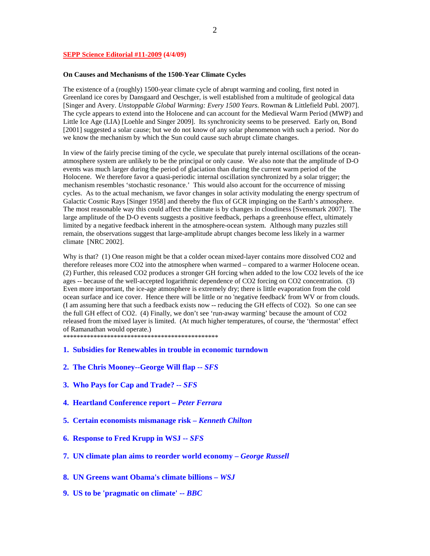## **SEPP Science Editorial #11-2009 (4/4/09)**

## **On Causes and Mechanisms of the 1500-Year Climate Cycles**

The existence of a (roughly) 1500-year climate cycle of abrupt warming and cooling, first noted in Greenland ice cores by Dansgaard and Oeschger, is well established from a multitude of geological data [Singer and Avery. *Unstoppable Global Warming: Every 1500 Years*. Rowman & Littlefield Publ. 2007]. The cycle appears to extend into the Holocene and can account for the Medieval Warm Period (MWP) and Little Ice Age (LIA) [Loehle and Singer 2009]. Its synchronicity seems to be preserved. Early on, Bond [2001] suggested a solar cause; but we do not know of any solar phenomenon with such a period. Nor do we know the mechanism by which the Sun could cause such abrupt climate changes.

In view of the fairly precise timing of the cycle, we speculate that purely internal oscillations of the oceanatmosphere system are unlikely to be the principal or only cause. We also note that the amplitude of D-O events was much larger during the period of glaciation than during the current warm period of the Holocene. We therefore favor a quasi-periodic internal oscillation synchronized by a solar trigger; the mechanism resembles 'stochastic resonance.' This would also account for the occurrence of missing cycles. As to the actual mechanism, we favor changes in solar activity modulating the energy spectrum of Galactic Cosmic Rays [Singer 1958] and thereby the flux of GCR impinging on the Earth's atmosphere. The most reasonable way this could affect the climate is by changes in cloudiness [Svensmark 2007]. The large amplitude of the D-O events suggests a positive feedback, perhaps a greenhouse effect, ultimately limited by a negative feedback inherent in the atmosphere-ocean system. Although many puzzles still remain, the observations suggest that large-amplitude abrupt changes become less likely in a warmer climate [NRC 2002].

Why is that? (1) One reason might be that a colder ocean mixed-layer contains more dissolved CO2 and therefore releases more CO2 into the atmosphere when warmed – compared to a warmer Holocene ocean. (2) Further, this released CO2 produces a stronger GH forcing when added to the low CO2 levels of the ice ages -- because of the well-accepted logarithmic dependence of CO2 forcing on CO2 concentration. (3) Even more important, the ice-age atmosphere is extremely dry; there is little evaporation from the cold ocean surface and ice cover. Hence there will be little or no 'negative feedback' from WV or from clouds. (I am assuming here that such a feedback exists now -- reducing the GH effects of CO2). So one can see the full GH effect of CO2. (4) Finally, we don't see 'run-away warming' because the amount of CO2 released from the mixed layer is limited. (At much higher temperatures, of course, the 'thermostat' effect of Ramanathan would operate.)

\*\*\*\*\*\*\*\*\*\*\*\*\*\*\*\*\*\*\*\*\*\*\*\*\*\*\*\*\*\*\*\*\*\*\*\*\*\*\*\*\*\*\*\*\*\*

- **1. Subsidies for Renewables in trouble in economic turndown**
- **2. The Chris Mooney--George Will flap --** *SFS*
- **3. Who Pays for Cap and Trade? --** *SFS*
- **4. Heartland Conference report** *Peter Ferrara*
- **5. Certain economists mismanage risk** *Kenneth Chilton*
- **6. Response to Fred Krupp in WSJ --** *SFS*
- **7. UN climate plan aims to reorder world economy –** *George Russell*
- **8. UN Greens want Obama's climate billions** *WSJ*
- **9. US to be 'pragmatic on climate' --** *BBC*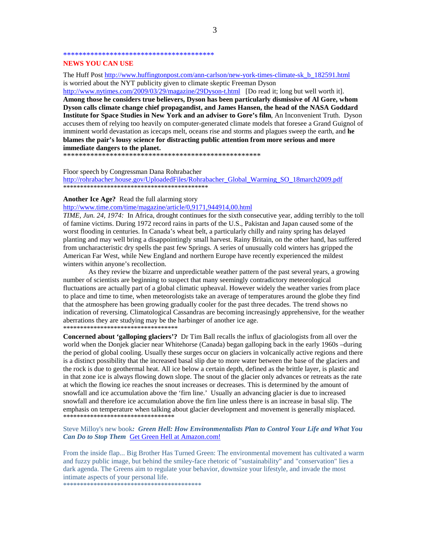#### \*\*\*\*\*\*\*\*\*\*\*\*\*\*\*\*\*\*\*\*\*\*\*\*\*\*\*\*\*\*\*\*\*\*\*\*\*\*\*

### **NEWS YOU CAN USE**

The Huff Post http://www.huffingtonpost.com/ann-carlson/new-york-times-climate-sk\_b\_182591.html is worried about the NYT publicity given to climate skeptic Freeman Dyson http://www.nytimes.com/2009/03/29/magazine/29Dyson-t.html [Do read it; long but well worth it]. **Among those he considers true believers, Dyson has been particularly dismissive of Al Gore, whom Dyson calls climate change chief propagandist, and James Hansen, the head of the NASA Goddard Institute for Space Studies in New York and an adviser to Gore's film**, An Inconvenient Truth. Dyson accuses them of relying too heavily on computer-generated climate models that foresee a Grand Guignol of imminent world devastation as icecaps melt, oceans rise and storms and plagues sweep the earth, and **he blames the pair's lousy science for distracting public attention from more serious and more** 

**immediate dangers to the planet.** 

\*\*\*\*\*\*\*\*\*\*\*\*\*\*\*\*\*\*\*\*\*\*\*\*\*\*\*\*\*\*\*\*\*\*\*\*\*\*\*\*\*\*\*\*\*\*\*\*\*\*\*

## Floor speech by Congressman Dana Rohrabacher

http://rohrabacher.house.gov/UploadedFiles/Rohrabacher\_Global\_Warming\_SO\_18march2009.pdf \*\*\*\*\*\*\*\*\*\*\*\*\*\*\*\*\*\*\*\*\*\*\*\*\*\*\*\*\*\*\*\*\*\*\*\*\*\*\*\*\*\*\*

### **Another Ice Age?** Read the full alarming story

http://www.time.com/time/magazine/article/0,9171,944914,00.html

*TIME, Jun. 24, 1974:* In Africa, drought continues for the sixth consecutive year, adding terribly to the toll of famine victims. During 1972 record rains in parts of the U.S., Pakistan and Japan caused some of the worst flooding in centuries. In Canada's wheat belt, a particularly chilly and rainy spring has delayed planting and may well bring a disappointingly small harvest. Rainy Britain, on the other hand, has suffered from uncharacteristic dry spells the past few Springs. A series of unusually cold winters has gripped the American Far West, while New England and northern Europe have recently experienced the mildest winters within anyone's recollection.

As they review the bizarre and unpredictable weather pattern of the past several years, a growing number of scientists are beginning to suspect that many seemingly contradictory meteorological fluctuations are actually part of a global climatic upheaval. However widely the weather varies from place to place and time to time, when meteorologists take an average of temperatures around the globe they find that the atmosphere has been growing gradually cooler for the past three decades. The trend shows no indication of reversing. Climatological Cassandras are becoming increasingly apprehensive, for the weather aberrations they are studying may be the harbinger of another ice age. \*\*\*\*\*\*\*\*\*\*\*\*\*\*\*\*\*\*\*\*\*\*\*\*\*\*\*\*\*\*\*\*\*\*

**Concerned about 'galloping glaciers'?** Dr Tim Ball recalls the influx of glaciologists from all over the world when the Donjek glacier near Whitehorse (Canada) began galloping back in the early 1960s –during the period of global cooling. Usually these surges occur on glaciers in volcanically active regions and there is a distinct possibility that the increased basal slip due to more water between the base of the glaciers and the rock is due to geothermal heat. All ice below a certain depth, defined as the brittle layer, is plastic and in that zone ice is always flowing down slope. The snout of the glacier only advances or retreats as the rate at which the flowing ice reaches the snout increases or decreases. This is determined by the amount of snowfall and ice accumulation above the 'firn line.' Usually an advancing glacier is due to increased snowfall and therefore ice accumulation above the firn line unless there is an increase in basal slip. The emphasis on temperature when talking about glacier development and movement is generally misplaced. \*\*\*\*\*\*\*\*\*\*\*\*\*\*\*\*\*\*\*\*\*\*\*\*\*\*\*\*\*\*\*\*\*

## Steve Milloy's new book*: Green Hell: How Environmentalists Plan to Control Your Life and What You Can Do to Stop Them* Get Green Hell at Amazon.com!

From the inside flap... Big Brother Has Turned Green: The environmental movement has cultivated a warm and fuzzy public image, but behind the smiley-face rhetoric of "sustainability" and "conservation" lies a dark agenda. The Greens aim to regulate your behavior, downsize your lifestyle, and invade the most intimate aspects of your personal life.

\*\*\*\*\*\*\*\*\*\*\*\*\*\*\*\*\*\*\*\*\*\*\*\*\*\*\*\*\*\*\*\*\*\*\*\*\*\*\*\*\*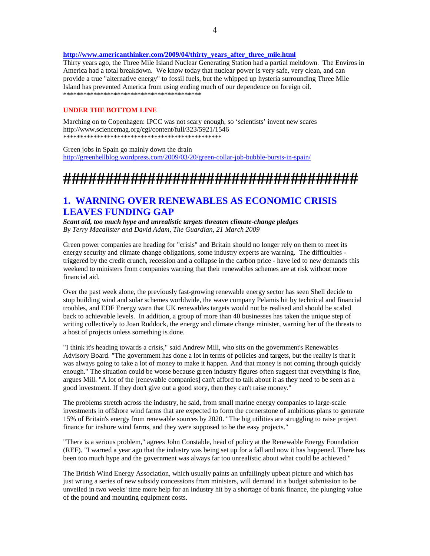# **http://www.americanthinker.com/2009/04/thirty\_years\_after\_three\_mile.html**

Thirty years ago, the Three Mile Island Nuclear Generating Station had a partial meltdown. The Enviros in America had a total breakdown. We know today that nuclear power is very safe, very clean, and can provide a true "alternative energy" to fossil fuels, but the whipped up hysteria surrounding Three Mile Island has prevented America from using ending much of our dependence on foreign oil. \*\*\*\*\*\*\*\*\*\*\*\*\*\*\*\*\*\*\*\*\*\*\*\*\*\*\*\*\*\*\*\*\*\*\*\*\*\*\*\*\*

# **UNDER THE BOTTOM LINE**

Marching on to Copenhagen: IPCC was not scary enough, so 'scientists' invent new scares http://www.sciencemag.org/cgi/content/full/323/5921/1546 \*\*\*\*\*\*\*\*\*\*\*\*\*\*\*\*\*\*\*\*\*\*\*\*\*\*\*\*\*\*\*\*\*\*\*\*\*\*\*\*\*\*\*\*\*\*\*

Green jobs in Spain go mainly down the drain http://greenhellblog.wordpress.com/2009/03/20/green-collar-job-bubble-bursts-in-spain/

# **###################################**

# **1. WARNING OVER RENEWABLES AS ECONOMIC CRISIS LEAVES FUNDING GAP**

*Scant aid, too much hype and unrealistic targets threaten climate-change pledges By Terry Macalister and David Adam, The Guardian, 21 March 2009* 

Green power companies are heading for "crisis" and Britain should no longer rely on them to meet its energy security and climate change obligations, some industry experts are warning. The difficulties triggered by the credit crunch, recession and a collapse in the carbon price - have led to new demands this weekend to ministers from companies warning that their renewables schemes are at risk without more financial aid.

Over the past week alone, the previously fast-growing renewable energy sector has seen Shell decide to stop building wind and solar schemes worldwide, the wave company Pelamis hit by technical and financial troubles, and EDF Energy warn that UK renewables targets would not be realised and should be scaled back to achievable levels. In addition, a group of more than 40 businesses has taken the unique step of writing collectively to Joan Ruddock, the energy and climate change minister, warning her of the threats to a host of projects unless something is done.

"I think it's heading towards a crisis," said Andrew Mill, who sits on the government's Renewables Advisory Board. "The government has done a lot in terms of policies and targets, but the reality is that it was always going to take a lot of money to make it happen. And that money is not coming through quickly enough." The situation could be worse because green industry figures often suggest that everything is fine, argues Mill. "A lot of the [renewable companies] can't afford to talk about it as they need to be seen as a good investment. If they don't give out a good story, then they can't raise money."

The problems stretch across the industry, he said, from small marine energy companies to large-scale investments in offshore wind farms that are expected to form the cornerstone of ambitious plans to generate 15% of Britain's energy from renewable sources by 2020. "The big utilities are struggling to raise project finance for inshore wind farms, and they were supposed to be the easy projects."

"There is a serious problem," agrees John Constable, head of policy at the Renewable Energy Foundation (REF). "I warned a year ago that the industry was being set up for a fall and now it has happened. There has been too much hype and the government was always far too unrealistic about what could be achieved."

The British Wind Energy Association, which usually paints an unfailingly upbeat picture and which has just wrung a series of new subsidy concessions from ministers, will demand in a budget submission to be unveiled in two weeks' time more help for an industry hit by a shortage of bank finance, the plunging value of the pound and mounting equipment costs.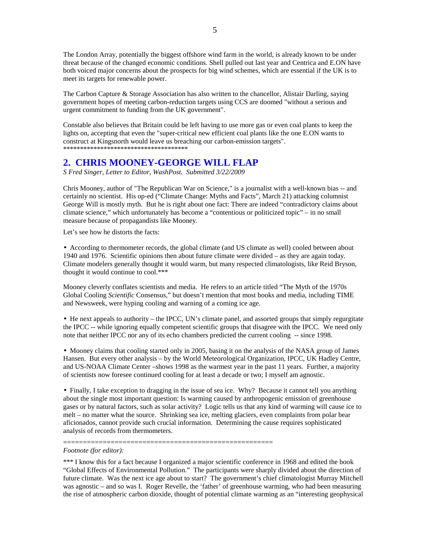The London Array, potentially the biggest offshore wind farm in the world, is already known to be under threat because of the changed economic conditions. Shell pulled out last year and Centrica and E.ON have both voiced major concerns about the prospects for big wind schemes, which are essential if the UK is to meet its targets for renewable power.

The Carbon Capture & Storage Association has also written to the chancellor, Alistair Darling, saying government hopes of meeting carbon-reduction targets using CCS are doomed "without a serious and urgent commitment to funding from the UK government".

Constable also believes that Britain could be left having to use more gas or even coal plants to keep the lights on, accepting that even the "super-critical new efficient coal plants like the one E.ON wants to construct at Kingsnorth would leave us breaching our carbon-emission targets". \*\*\*\*\*\*\*\*\*\*\*\*\*\*\*\*\*\*\*\*\*\*\*\*\*\*\*\*\*\*\*\*\*\*\*\*\*

# **2. CHRIS MOONEY-GEORGE WILL FLAP**

*S Fred Singer, Letter to Editor, WashPost. Submitted 3/22/2009* 

Chris Mooney, author of "The Republican War on Science," is a journalist with a well-known bias -- and certainly no scientist. His op-ed ("Climate Change: Myths and Facts", March 21) attacking columnist George Will is mostly myth. But he is right about one fact: There are indeed "contradictory claims about climate science," which unfortunately has become a "contentious or politicized topic" – in no small measure because of propagandists like Mooney.

Let's see how he distorts the facts:

• According to thermometer records, the global climate (and US climate as well) cooled between about 1940 and 1976. Scientific opinions then about future climate were divided – as they are again today. Climate modelers generally thought it would warm, but many respected climatologists, like Reid Bryson, thought it would continue to cool.\*\*\*

Mooney cleverly conflates scientists and media. He refers to an article titled "The Myth of the 1970s Global Cooling *Scientific* Consensus," but doesn't mention that most books and media, including TIME and Newsweek, were hyping cooling and warning of a coming ice age.

• He next appeals to authority – the IPCC, UN's climate panel, and assorted groups that simply regurgitate the IPCC -- while ignoring equally competent scientific groups that disagree with the IPCC. We need only note that neither IPCC nor any of its echo chambers predicted the current cooling -- since 1998.

• Mooney claims that cooling started only in 2005, basing it on the analysis of the NASA group of James Hansen. But every other analysis – by the World Meteorological Organization, IPCC, UK Hadley Centre, and US-NOAA Climate Center –shows 1998 as the warmest year in the past 11 years. Further, a majority of scientists now foresee continued cooling for at least a decade or two; I myself am agnostic.

• Finally, I take exception to dragging in the issue of sea ice. Why? Because it cannot tell you anything about the single most important question: Is warming caused by anthropogenic emission of greenhouse gases or by natural factors, such as solar activity? Logic tells us that any kind of warming will cause ice to melt – no matter what the source. Shrinking sea ice, melting glaciers, even complaints from polar bear aficionados, cannot provide such crucial information. Determining the cause requires sophisticated analysis of records from thermometers.

=====================================================

*Footnote (for editor):* 

<sup>\*\*\*</sup> I know this for a fact because I organized a major scientific conference in 1968 and edited the book "Global Effects of Environmental Pollution." The participants were sharply divided about the direction of future climate. Was the next ice age about to start? The government's chief climatologist Murray Mitchell was agnostic – and so was I. Roger Revelle, the 'father' of greenhouse warming, who had been measuring the rise of atmospheric carbon dioxide, thought of potential climate warming as an "interesting geophysical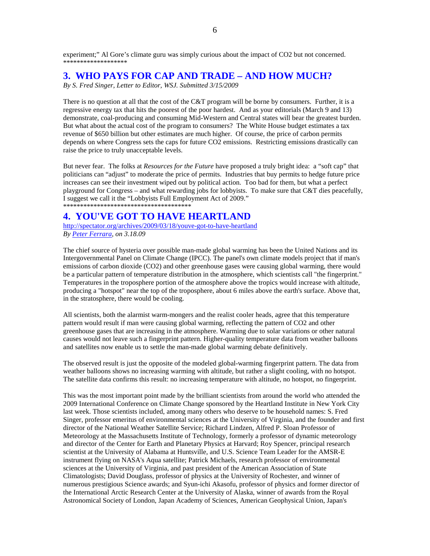experiment;" Al Gore's climate guru was simply curious about the impact of CO2 but not concerned. \*\*\*\*\*\*\*\*\*\*\*\*\*\*\*\*\*\*\*

# **3. WHO PAYS FOR CAP AND TRADE – AND HOW MUCH?**

*By S. Fred Singer, Letter to Editor, WSJ. Submitted 3/15/2009* 

There is no question at all that the cost of the  $C&T$  program will be borne by consumers. Further, it is a regressive energy tax that hits the poorest of the poor hardest. And as your editorials (March 9 and 13) demonstrate, coal-producing and consuming Mid-Western and Central states will bear the greatest burden. But what about the actual cost of the program to consumers? The White House budget estimates a tax revenue of \$650 billion but other estimates are much higher. Of course, the price of carbon permits depends on where Congress sets the caps for future CO2 emissions. Restricting emissions drastically can raise the price to truly unacceptable levels.

But never fear. The folks at *Resources for the Future* have proposed a truly bright idea: a "soft cap" that politicians can "adjust" to moderate the price of permits. Industries that buy permits to hedge future price increases can see their investment wiped out by political action. Too bad for them, but what a perfect playground for Congress – and what rewarding jobs for lobbyists. To make sure that C&T dies peacefully, I suggest we call it the "Lobbyists Full Employment Act of 2009." \*\*\*\*\*\*\*\*\*\*\*\*\*\*\*\*\*\*\*\*\*\*\*\*\*\*\*\*\*\*\*\*\*\*\*\*\*\*

# **4. YOU'VE GOT TO HAVE HEARTLAND**

http://spectator.org/archives/2009/03/18/youve-got-to-have-heartland *By Peter Ferrara, on 3.18.09* 

The chief source of hysteria over possible man-made global warming has been the United Nations and its Intergovernmental Panel on Climate Change (IPCC). The panel's own climate models project that if man's emissions of carbon dioxide (CO2) and other greenhouse gases were causing global warming, there would be a particular pattern of temperature distribution in the atmosphere, which scientists call "the fingerprint." Temperatures in the troposphere portion of the atmosphere above the tropics would increase with altitude, producing a "hotspot" near the top of the troposphere, about 6 miles above the earth's surface. Above that, in the stratosphere, there would be cooling.

All scientists, both the alarmist warm-mongers and the realist cooler heads, agree that this temperature pattern would result if man were causing global warming, reflecting the pattern of CO2 and other greenhouse gases that are increasing in the atmosphere. Warming due to solar variations or other natural causes would not leave such a fingerprint pattern. Higher-quality temperature data from weather balloons and satellites now enable us to settle the man-made global warming debate definitively.

The observed result is just the opposite of the modeled global-warming fingerprint pattern. The data from weather balloons shows no increasing warming with altitude, but rather a slight cooling, with no hotspot. The satellite data confirms this result: no increasing temperature with altitude, no hotspot, no fingerprint.

This was the most important point made by the brilliant scientists from around the world who attended the 2009 International Conference on Climate Change sponsored by the Heartland Institute in New York City last week. Those scientists included, among many others who deserve to be household names: S. Fred Singer, professor emeritus of environmental sciences at the University of Virginia, and the founder and first director of the National Weather Satellite Service; Richard Lindzen, Alfred P. Sloan Professor of Meteorology at the Massachusetts Institute of Technology, formerly a professor of dynamic meteorology and director of the Center for Earth and Planetary Physics at Harvard; Roy Spencer, principal research scientist at the University of Alabama at Huntsville, and U.S. Science Team Leader for the AMSR-E instrument flying on NASA's Aqua satellite; Patrick Michaels, research professor of environmental sciences at the University of Virginia, and past president of the American Association of State Climatologists; David Douglass, professor of physics at the University of Rochester, and winner of numerous prestigious Science awards; and Syun-ichi Akasofu, professor of physics and former director of the International Arctic Research Center at the University of Alaska, winner of awards from the Royal Astronomical Society of London, Japan Academy of Sciences, American Geophysical Union, Japan's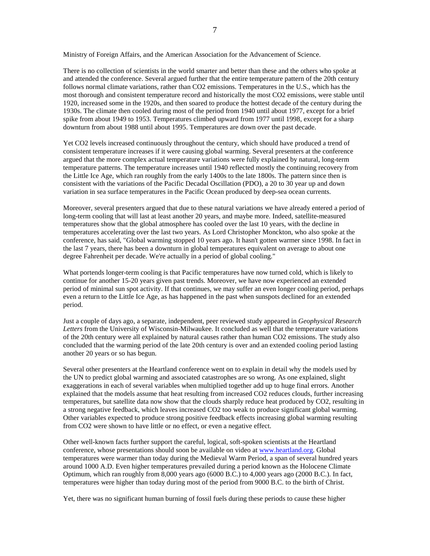Ministry of Foreign Affairs, and the American Association for the Advancement of Science.

There is no collection of scientists in the world smarter and better than these and the others who spoke at and attended the conference. Several argued further that the entire temperature pattern of the 20th century follows normal climate variations, rather than CO2 emissions. Temperatures in the U.S., which has the most thorough and consistent temperature record and historically the most CO2 emissions, were stable until 1920, increased some in the 1920s, and then soared to produce the hottest decade of the century during the 1930s. The climate then cooled during most of the period from 1940 until about 1977, except for a brief spike from about 1949 to 1953. Temperatures climbed upward from 1977 until 1998, except for a sharp downturn from about 1988 until about 1995. Temperatures are down over the past decade.

Yet CO2 levels increased continuously throughout the century, which should have produced a trend of consistent temperature increases if it were causing global warming. Several presenters at the conference argued that the more complex actual temperature variations were fully explained by natural, long-term temperature patterns. The temperature increases until 1940 reflected mostly the continuing recovery from the Little Ice Age, which ran roughly from the early 1400s to the late 1800s. The pattern since then is consistent with the variations of the Pacific Decadal Oscillation (PDO), a 20 to 30 year up and down variation in sea surface temperatures in the Pacific Ocean produced by deep-sea ocean currents.

Moreover, several presenters argued that due to these natural variations we have already entered a period of long-term cooling that will last at least another 20 years, and maybe more. Indeed, satellite-measured temperatures show that the global atmosphere has cooled over the last 10 years, with the decline in temperatures accelerating over the last two years. As Lord Christopher Monckton, who also spoke at the conference, has said, "Global warming stopped 10 years ago. It hasn't gotten warmer since 1998. In fact in the last 7 years, there has been a downturn in global temperatures equivalent on average to about one degree Fahrenheit per decade. We're actually in a period of global cooling."

What portends longer-term cooling is that Pacific temperatures have now turned cold, which is likely to continue for another 15-20 years given past trends. Moreover, we have now experienced an extended period of minimal sun spot activity. If that continues, we may suffer an even longer cooling period, perhaps even a return to the Little Ice Age, as has happened in the past when sunspots declined for an extended period.

Just a couple of days ago, a separate, independent, peer reviewed study appeared in *Geophysical Research Letters* from the University of Wisconsin-Milwaukee. It concluded as well that the temperature variations of the 20th century were all explained by natural causes rather than human CO2 emissions. The study also concluded that the warming period of the late 20th century is over and an extended cooling period lasting another 20 years or so has begun.

Several other presenters at the Heartland conference went on to explain in detail why the models used by the UN to predict global warming and associated catastrophes are so wrong. As one explained, slight exaggerations in each of several variables when multiplied together add up to huge final errors. Another explained that the models assume that heat resulting from increased CO2 reduces clouds, further increasing temperatures, but satellite data now show that the clouds sharply reduce heat produced by CO2, resulting in a strong negative feedback, which leaves increased CO2 too weak to produce significant global warming. Other variables expected to produce strong positive feedback effects increasing global warming resulting from CO2 were shown to have little or no effect, or even a negative effect.

Other well-known facts further support the careful, logical, soft-spoken scientists at the Heartland conference, whose presentations should soon be available on video at www.heartland.org. Global temperatures were warmer than today during the Medieval Warm Period, a span of several hundred years around 1000 A.D. Even higher temperatures prevailed during a period known as the Holocene Climate Optimum, which ran roughly from 8,000 years ago (6000 B.C.) to 4,000 years ago (2000 B.C.). In fact, temperatures were higher than today during most of the period from 9000 B.C. to the birth of Christ.

Yet, there was no significant human burning of fossil fuels during these periods to cause these higher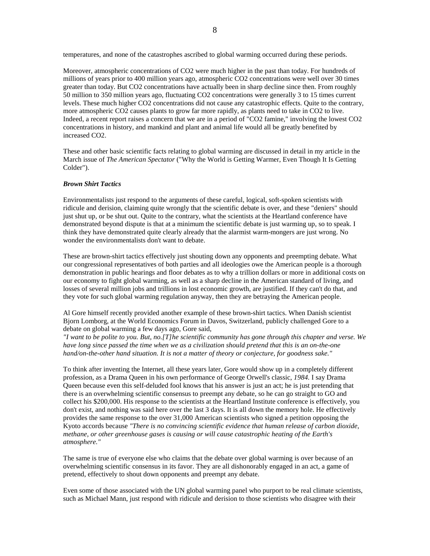temperatures, and none of the catastrophes ascribed to global warming occurred during these periods.

Moreover, atmospheric concentrations of CO2 were much higher in the past than today. For hundreds of millions of years prior to 400 million years ago, atmospheric CO2 concentrations were well over 30 times greater than today. But CO2 concentrations have actually been in sharp decline since then. From roughly 50 million to 350 million years ago, fluctuating CO2 concentrations were generally 3 to 15 times current levels. These much higher CO2 concentrations did not cause any catastrophic effects. Quite to the contrary, more atmospheric CO2 causes plants to grow far more rapidly, as plants need to take in CO2 to live. Indeed, a recent report raises a concern that we are in a period of "CO2 famine," involving the lowest CO2 concentrations in history, and mankind and plant and animal life would all be greatly benefited by increased CO2.

These and other basic scientific facts relating to global warming are discussed in detail in my article in the March issue of *The American Spectator* ("Why the World is Getting Warmer, Even Though It Is Getting Colder").

### *Brown Shirt Tactics*

Environmentalists just respond to the arguments of these careful, logical, soft-spoken scientists with ridicule and derision, claiming quite wrongly that the scientific debate is over, and these "deniers" should just shut up, or be shut out. Quite to the contrary, what the scientists at the Heartland conference have demonstrated beyond dispute is that at a minimum the scientific debate is just warming up, so to speak. I think they have demonstrated quite clearly already that the alarmist warm-mongers are just wrong. No wonder the environmentalists don't want to debate.

These are brown-shirt tactics effectively just shouting down any opponents and preempting debate. What our congressional representatives of both parties and all ideologies owe the American people is a thorough demonstration in public hearings and floor debates as to why a trillion dollars or more in additional costs on our economy to fight global warming, as well as a sharp decline in the American standard of living, and losses of several million jobs and trillions in lost economic growth, are justified. If they can't do that, and they vote for such global warming regulation anyway, then they are betraying the American people.

Al Gore himself recently provided another example of these brown-shirt tactics. When Danish scientist Bjorn Lomborg, at the World Economics Forum in Davos, Switzerland, publicly challenged Gore to a debate on global warming a few days ago, Gore said,

*"I want to be polite to you. But, no.[T]he scientific community has gone through this chapter and verse. We have long since passed the time when we as a civilization should pretend that this is an on-the-one hand/on-the-other hand situation. It is not a matter of theory or conjecture, for goodness sake."* 

To think after inventing the Internet, all these years later, Gore would show up in a completely different profession, as a Drama Queen in his own performance of George Orwell's classic, *1984.* I say Drama Queen because even this self-deluded fool knows that his answer is just an act; he is just pretending that there is an overwhelming scientific consensus to preempt any debate, so he can go straight to GO and collect his \$200,000. His response to the scientists at the Heartland Institute conference is effectively, you don't exist, and nothing was said here over the last 3 days. It is all down the memory hole. He effectively provides the same response to the over 31,000 American scientists who signed a petition opposing the Kyoto accords because *"There is no convincing scientific evidence that human release of carbon dioxide, methane, or other greenhouse gases is causing or will cause catastrophic heating of the Earth's atmosphere."* 

The same is true of everyone else who claims that the debate over global warming is over because of an overwhelming scientific consensus in its favor. They are all dishonorably engaged in an act, a game of pretend, effectively to shout down opponents and preempt any debate.

Even some of those associated with the UN global warming panel who purport to be real climate scientists, such as Michael Mann, just respond with ridicule and derision to those scientists who disagree with their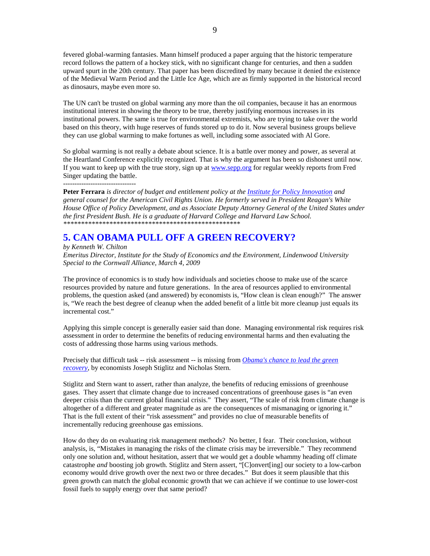fevered global-warming fantasies. Mann himself produced a paper arguing that the historic temperature record follows the pattern of a hockey stick, with no significant change for centuries, and then a sudden upward spurt in the 20th century. That paper has been discredited by many because it denied the existence of the Medieval Warm Period and the Little Ice Age, which are as firmly supported in the historical record as dinosaurs, maybe even more so.

The UN can't be trusted on global warming any more than the oil companies, because it has an enormous institutional interest in showing the theory to be true, thereby justifying enormous increases in its institutional powers. The same is true for environmental extremists, who are trying to take over the world based on this theory, with huge reserves of funds stored up to do it. Now several business groups believe they can use global warming to make fortunes as well, including some associated with Al Gore.

So global warming is not really a debate about science. It is a battle over money and power, as several at the Heartland Conference explicitly recognized. That is why the argument has been so dishonest until now. If you want to keep up with the true story, sign up at www.sepp.org for regular weekly reports from Fred Singer updating the battle.

**Peter Ferrara** *is director of budget and entitlement policy at the Institute for Policy Innovation and general counsel for the American Civil Rights Union. He formerly served in President Reagan's White House Office of Policy Development, and as Associate Deputy Attorney General of the United States under the first President Bush. He is a graduate of Harvard College and Harvard Law School. \*\*\*\*\*\*\*\*\*\*\*\*\*\*\*\*\*\*\*\*\*\*\*\*\*\*\*\*\*\*\*\*\*\*\*\*\*\*\*\*\*\*\*\*\*\*\*\*\*\**

# **5. CAN OBAMA PULL OFF A GREEN RECOVERY?**

*by Kenneth W. Chilton* 

--------------------------------

*Emeritus Director, Institute for the Study of Economics and the Environment, Lindenwood University Special to the Cornwall Alliance, March 4, 2009* 

The province of economics is to study how individuals and societies choose to make use of the scarce resources provided by nature and future generations. In the area of resources applied to environmental problems, the question asked (and answered) by economists is, "How clean is clean enough?" The answer is, "We reach the best degree of cleanup when the added benefit of a little bit more cleanup just equals its incremental cost."

Applying this simple concept is generally easier said than done. Managing environmental risk requires risk assessment in order to determine the benefits of reducing environmental harms and then evaluating the costs of addressing those harms using various methods.

Precisely that difficult task -- risk assessment -- is missing from *Obama's chance to lead the green recovery*, by economists Joseph Stiglitz and Nicholas Stern.

Stiglitz and Stern want to assert, rather than analyze, the benefits of reducing emissions of greenhouse gases. They assert that climate change due to increased concentrations of greenhouse gases is "an even deeper crisis than the current global financial crisis." They assert, "The scale of risk from climate change is altogether of a different and greater magnitude as are the consequences of mismanaging or ignoring it." That is the full extent of their "risk assessment" and provides no clue of measurable benefits of incrementally reducing greenhouse gas emissions.

How do they do on evaluating risk management methods? No better, I fear. Their conclusion, without analysis, is, "Mistakes in managing the risks of the climate crisis may be irreversible." They recommend only one solution and, without hesitation, assert that we would get a double whammy heading off climate catastrophe *and* boosting job growth. Stiglitz and Stern assert, "[C]onvert[ing] our society to a low-carbon economy would drive growth over the next two or three decades." But does it seem plausible that this green growth can match the global economic growth that we can achieve if we continue to use lower-cost fossil fuels to supply energy over that same period?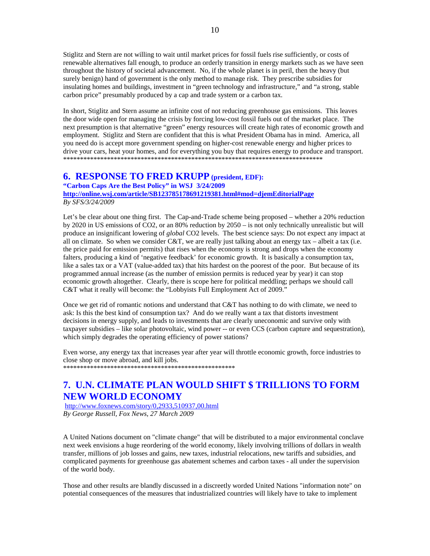Stiglitz and Stern are not willing to wait until market prices for fossil fuels rise sufficiently, or costs of renewable alternatives fall enough, to produce an orderly transition in energy markets such as we have seen throughout the history of societal advancement. No, if the whole planet is in peril, then the heavy (but surely benign) hand of government is the only method to manage risk. They prescribe subsidies for insulating homes and buildings, investment in "green technology and infrastructure," and "a strong, stable carbon price" presumably produced by a cap and trade system or a carbon tax.

In short, Stiglitz and Stern assume an infinite cost of not reducing greenhouse gas emissions. This leaves the door wide open for managing the crisis by forcing low-cost fossil fuels out of the market place. The next presumption is that alternative "green" energy resources will create high rates of economic growth and employment. Stiglitz and Stern are confident that this is what President Obama has in mind. America, all you need do is accept more government spending on higher-cost renewable energy and higher prices to drive your cars, heat your homes, and for everything you buy that requires energy to produce and transport. \*\*\*\*\*\*\*\*\*\*\*\*\*\*\*\*\*\*\*\*\*\*\*\*\*\*\*\*\*\*\*\*\*\*\*\*\*\*\*\*\*\*\*\*\*\*\*\*\*\*\*\*\*\*\*\*\*\*\*\*\*\*\*\*\*\*\*\*\*\*\*\*\*\*\*\*\*

# **6. RESPONSE TO FRED KRUPP (president, EDF):**

**"Carbon Caps Are the Best Policy" in WSJ 3/24/2009**

**http://online.wsj.com/article/SB123785178691219381.html#mod=djemEditorialPage** *By SFS/3/24/2009* 

Let's be clear about one thing first. The Cap-and-Trade scheme being proposed – whether a 20% reduction by 2020 in US emissions of CO2, or an 80% reduction by 2050 – is not only technically unrealistic but will produce an insignificant lowering of *global* CO2 levels. The best science says: Do not expect any impact at all on climate. So when we consider C&T, we are really just talking about an energy tax – albeit a tax (i.e. the price paid for emission permits) that rises when the economy is strong and drops when the economy falters, producing a kind of 'negative feedback' for economic growth. It is basically a consumption tax, like a sales tax or a VAT (value-added tax) that hits hardest on the poorest of the poor. But because of its programmed annual increase (as the number of emission permits is reduced year by year) it can stop economic growth altogether. Clearly, there is scope here for political meddling; perhaps we should call C&T what it really will become: the "Lobbyists Full Employment Act of 2009."

Once we get rid of romantic notions and understand that C&T has nothing to do with climate, we need to ask: Is this the best kind of consumption tax? And do we really want a tax that distorts investment decisions in energy supply, and leads to investments that are clearly uneconomic and survive only with taxpayer subsidies – like solar photovoltaic, wind power -- or even CCS (carbon capture and sequestration), which simply degrades the operating efficiency of power stations?

Even worse, any energy tax that increases year after year will throttle economic growth, force industries to close shop or move abroad, and kill jobs. \*\*\*\*\*\*\*\*\*\*\*\*\*\*\*\*\*\*\*\*\*\*\*\*\*\*\*\*\*\*\*\*\*\*\*\*\*\*\*\*\*\*\*\*\*\*\*\*\*\*\*

# **7. U.N. CLIMATE PLAN WOULD SHIFT \$ TRILLIONS TO FORM NEW WORLD ECONOMY**

http://www.foxnews.com/story/0,2933,510937,00.html *By George Russell, Fox News, 27 March 2009* 

A United Nations document on "climate change" that will be distributed to a major environmental conclave next week envisions a huge reordering of the world economy, likely involving trillions of dollars in wealth transfer, millions of job losses and gains, new taxes, industrial relocations, new tariffs and subsidies, and complicated payments for greenhouse gas abatement schemes and carbon taxes - all under the supervision of the world body.

Those and other results are blandly discussed in a discreetly worded United Nations "information note" on potential consequences of the measures that industrialized countries will likely have to take to implement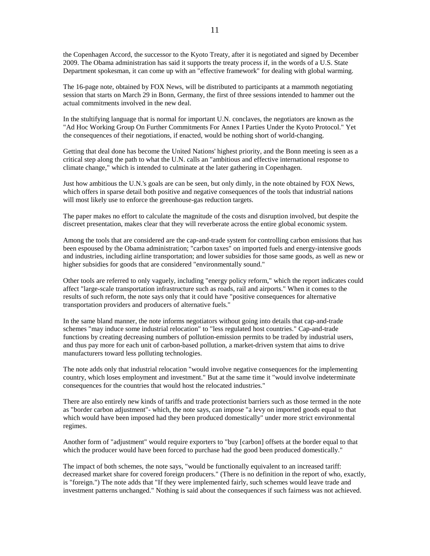the Copenhagen Accord, the successor to the Kyoto Treaty, after it is negotiated and signed by December 2009. The Obama administration has said it supports the treaty process if, in the words of a U.S. State Department spokesman, it can come up with an "effective framework" for dealing with global warming.

The 16-page note, obtained by FOX News, will be distributed to participants at a mammoth negotiating session that starts on March 29 in Bonn, Germany, the first of three sessions intended to hammer out the actual commitments involved in the new deal.

In the stultifying language that is normal for important U.N. conclaves, the negotiators are known as the "Ad Hoc Working Group On Further Commitments For Annex I Parties Under the Kyoto Protocol." Yet the consequences of their negotiations, if enacted, would be nothing short of world-changing.

Getting that deal done has become the United Nations' highest priority, and the Bonn meeting is seen as a critical step along the path to what the U.N. calls an "ambitious and effective international response to climate change," which is intended to culminate at the later gathering in Copenhagen.

Just how ambitious the U.N.'s goals are can be seen, but only dimly, in the note obtained by FOX News, which offers in sparse detail both positive and negative consequences of the tools that industrial nations will most likely use to enforce the greenhouse-gas reduction targets.

The paper makes no effort to calculate the magnitude of the costs and disruption involved, but despite the discreet presentation, makes clear that they will reverberate across the entire global economic system.

Among the tools that are considered are the cap-and-trade system for controlling carbon emissions that has been espoused by the Obama administration; "carbon taxes" on imported fuels and energy-intensive goods and industries, including airline transportation; and lower subsidies for those same goods, as well as new or higher subsidies for goods that are considered "environmentally sound."

Other tools are referred to only vaguely, including "energy policy reform," which the report indicates could affect "large-scale transportation infrastructure such as roads, rail and airports." When it comes to the results of such reform, the note says only that it could have "positive consequences for alternative transportation providers and producers of alternative fuels."

In the same bland manner, the note informs negotiators without going into details that cap-and-trade schemes "may induce some industrial relocation" to "less regulated host countries." Cap-and-trade functions by creating decreasing numbers of pollution-emission permits to be traded by industrial users, and thus pay more for each unit of carbon-based pollution, a market-driven system that aims to drive manufacturers toward less polluting technologies.

The note adds only that industrial relocation "would involve negative consequences for the implementing country, which loses employment and investment." But at the same time it "would involve indeterminate consequences for the countries that would host the relocated industries."

There are also entirely new kinds of tariffs and trade protectionist barriers such as those termed in the note as "border carbon adjustment"- which, the note says, can impose "a levy on imported goods equal to that which would have been imposed had they been produced domestically" under more strict environmental regimes.

Another form of "adjustment" would require exporters to "buy [carbon] offsets at the border equal to that which the producer would have been forced to purchase had the good been produced domestically."

The impact of both schemes, the note says, "would be functionally equivalent to an increased tariff: decreased market share for covered foreign producers." (There is no definition in the report of who, exactly, is "foreign.") The note adds that "If they were implemented fairly, such schemes would leave trade and investment patterns unchanged." Nothing is said about the consequences if such fairness was not achieved.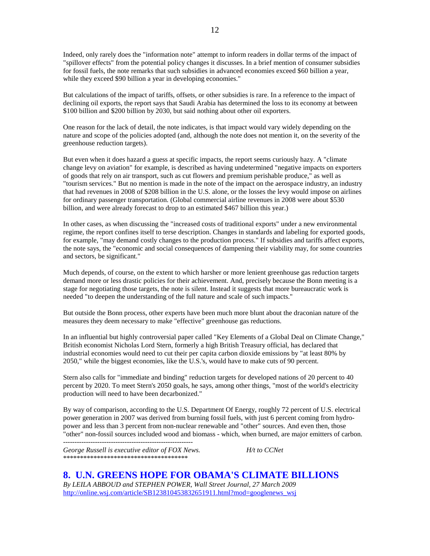Indeed, only rarely does the "information note" attempt to inform readers in dollar terms of the impact of "spillover effects" from the potential policy changes it discusses. In a brief mention of consumer subsidies for fossil fuels, the note remarks that such subsidies in advanced economies exceed \$60 billion a year, while they exceed \$90 billion a year in developing economies."

But calculations of the impact of tariffs, offsets, or other subsidies is rare. In a reference to the impact of declining oil exports, the report says that Saudi Arabia has determined the loss to its economy at between \$100 billion and \$200 billion by 2030, but said nothing about other oil exporters.

One reason for the lack of detail, the note indicates, is that impact would vary widely depending on the nature and scope of the policies adopted (and, although the note does not mention it, on the severity of the greenhouse reduction targets).

But even when it does hazard a guess at specific impacts, the report seems curiously hazy. A "climate change levy on aviation" for example, is described as having undetermined "negative impacts on exporters of goods that rely on air transport, such as cut flowers and premium perishable produce," as well as "tourism services." But no mention is made in the note of the impact on the aerospace industry, an industry that had revenues in 2008 of \$208 billion in the U.S. alone, or the losses the levy would impose on airlines for ordinary passenger transportation. (Global commercial airline revenues in 2008 were about \$530 billion, and were already forecast to drop to an estimated \$467 billion this year.)

In other cases, as when discussing the "increased costs of traditional exports" under a new environmental regime, the report confines itself to terse description. Changes in standards and labeling for exported goods, for example, "may demand costly changes to the production process." If subsidies and tariffs affect exports, the note says, the "economic and social consequences of dampening their viability may, for some countries and sectors, be significant."

Much depends, of course, on the extent to which harsher or more lenient greenhouse gas reduction targets demand more or less drastic policies for their achievement. And, precisely because the Bonn meeting is a stage for negotiating those targets, the note is silent. Instead it suggests that more bureaucratic work is needed "to deepen the understanding of the full nature and scale of such impacts."

But outside the Bonn process, other experts have been much more blunt about the draconian nature of the measures they deem necessary to make "effective" greenhouse gas reductions.

In an influential but highly controversial paper called "Key Elements of a Global Deal on Climate Change," British economist Nicholas Lord Stern, formerly a high British Treasury official, has declared that industrial economies would need to cut their per capita carbon dioxide emissions by "at least 80% by 2050," while the biggest economies, like the U.S.'s, would have to make cuts of 90 percent.

Stern also calls for "immediate and binding" reduction targets for developed nations of 20 percent to 40 percent by 2020. To meet Stern's 2050 goals, he says, among other things, "most of the world's electricity production will need to have been decarbonized."

By way of comparison, according to the U.S. Department Of Energy, roughly 72 percent of U.S. electrical power generation in 2007 was derived from burning fossil fuels, with just 6 percent coming from hydropower and less than 3 percent from non-nuclear renewable and "other" sources. And even then, those "other" non-fossil sources included wood and biomass - which, when burned, are major emitters of carbon.

--------------------------------------------------------- *George Russell is executive editor of FOX News. H/t to CCNet*  \*\*\*\*\*\*\*\*\*\*\*\*\*\*\*\*\*\*\*\*\*\*\*\*\*\*\*\*\*\*\*\*\*\*\*\*\*

# **8. U.N. GREENS HOPE FOR OBAMA'S CLIMATE BILLIONS**

*By LEILA ABBOUD and STEPHEN POWER, Wall Street Journal, 27 March 2009*  http://online.wsj.com/article/SB123810453832651911.html?mod=googlenews\_wsj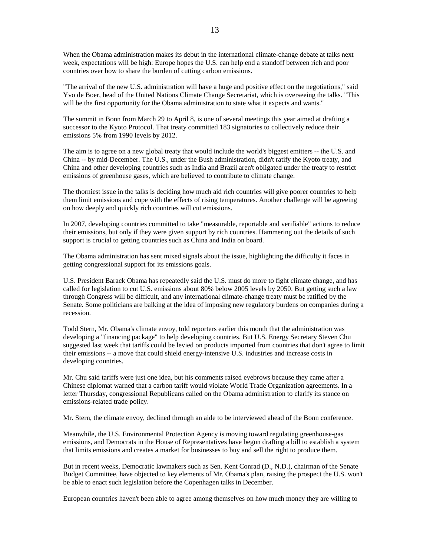When the Obama administration makes its debut in the international climate-change debate at talks next week, expectations will be high: Europe hopes the U.S. can help end a standoff between rich and poor countries over how to share the burden of cutting carbon emissions.

"The arrival of the new U.S. administration will have a huge and positive effect on the negotiations," said Yvo de Boer, head of the United Nations Climate Change Secretariat, which is overseeing the talks. "This will be the first opportunity for the Obama administration to state what it expects and wants."

The summit in Bonn from March 29 to April 8, is one of several meetings this year aimed at drafting a successor to the Kyoto Protocol. That treaty committed 183 signatories to collectively reduce their emissions 5% from 1990 levels by 2012.

The aim is to agree on a new global treaty that would include the world's biggest emitters -- the U.S. and China -- by mid-December. The U.S., under the Bush administration, didn't ratify the Kyoto treaty, and China and other developing countries such as India and Brazil aren't obligated under the treaty to restrict emissions of greenhouse gases, which are believed to contribute to climate change.

The thorniest issue in the talks is deciding how much aid rich countries will give poorer countries to help them limit emissions and cope with the effects of rising temperatures. Another challenge will be agreeing on how deeply and quickly rich countries will cut emissions.

In 2007, developing countries committed to take "measurable, reportable and verifiable" actions to reduce their emissions, but only if they were given support by rich countries. Hammering out the details of such support is crucial to getting countries such as China and India on board.

The Obama administration has sent mixed signals about the issue, highlighting the difficulty it faces in getting congressional support for its emissions goals.

U.S. President Barack Obama has repeatedly said the U.S. must do more to fight climate change, and has called for legislation to cut U.S. emissions about 80% below 2005 levels by 2050. But getting such a law through Congress will be difficult, and any international climate-change treaty must be ratified by the Senate. Some politicians are balking at the idea of imposing new regulatory burdens on companies during a recession.

Todd Stern, Mr. Obama's climate envoy, told reporters earlier this month that the administration was developing a "financing package" to help developing countries. But U.S. Energy Secretary Steven Chu suggested last week that tariffs could be levied on products imported from countries that don't agree to limit their emissions -- a move that could shield energy-intensive U.S. industries and increase costs in developing countries.

Mr. Chu said tariffs were just one idea, but his comments raised eyebrows because they came after a Chinese diplomat warned that a carbon tariff would violate World Trade Organization agreements. In a letter Thursday, congressional Republicans called on the Obama administration to clarify its stance on emissions-related trade policy.

Mr. Stern, the climate envoy, declined through an aide to be interviewed ahead of the Bonn conference.

Meanwhile, the U.S. Environmental Protection Agency is moving toward regulating greenhouse-gas emissions, and Democrats in the House of Representatives have begun drafting a bill to establish a system that limits emissions and creates a market for businesses to buy and sell the right to produce them.

But in recent weeks, Democratic lawmakers such as Sen. Kent Conrad (D., N.D.), chairman of the Senate Budget Committee, have objected to key elements of Mr. Obama's plan, raising the prospect the U.S. won't be able to enact such legislation before the Copenhagen talks in December.

European countries haven't been able to agree among themselves on how much money they are willing to